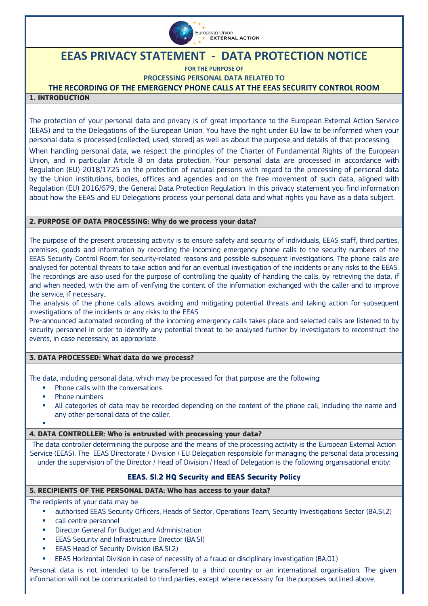

# **EEAS PRIVACY STATEMENT - DATA PROTECTION NOTICE**

**FOR THE PURPOSE OF**

**PROCESSING PERSONAL DATA RELATED TO** 

## **THE RECORDING OF THE EMERGENCY PHONE CALLS AT THE EEAS SECURITY CONTROL ROOM**

#### **1. INTRODUCTION**

The protection of your personal data and privacy is of great importance to the European External Action Service (EEAS) and to the Delegations of the European Union. You have the right under EU law to be informed when your personal data is processed [collected, used, stored] as well as about the purpose and details of that processing.

When handling personal data, we respect the principles of the Charter of Fundamental Rights of the European Union, and in particular Article 8 on data protection. Your personal data are processed in accordance with Regulation (EU) 2018/1725 on the protection of natural persons with regard to the processing of personal data by the Union institutions, bodies, offices and agencies and on the free movement of such data, aligned with Regulation (EU) 2016/679, the General Data Protection Regulation. In this privacy statement you find information about how the EEAS and EU Delegations process your personal data and what rights you have as a data subject.

#### **2. PURPOSE OF DATA PROCESSING: Why do we process your data?**

The purpose of the present processing activity is to ensure safety and security of individuals, EEAS staff, third parties, premises, goods and information by recording the incoming emergency phone calls to the security numbers of the EEAS Security Control Room for security-related reasons and possible subsequent investigations. The phone calls are analysed for potential threats to take action and for an eventual investigation of the incidents or any risks to the EEAS. The recordings are also used for the purpose of controlling the quality of handling the calls, by retrieving the data, if and when needed, with the aim of verifying the content of the information exchanged with the caller and to improve the service, if necessary..

The analysis of the phone calls allows avoiding and mitigating potential threats and taking action for subsequent investigations of the incidents or any risks to the EEAS.

Pre-announced automated recording of the incoming emergency calls takes place and selected calls are listened to by security personnel in order to identify any potential threat to be analysed further by investigators to reconstruct the events, in case necessary, as appropriate.

## **3. DATA PROCESSED: What data do we process?**

The data, including personal data, which may be processed for that purpose are the following:

- Phone calls with the conversations
- Phone numbers
- All categories of data may be recorded depending on the content of the phone call, including the name and any other personal data of the caller.
- E

## **4. DATA CONTROLLER: Who is entrusted with processing your data?**

The data controller determining the purpose and the means of the processing activity is the European External Action Service (EEAS). The EEAS Directorate / Division / EU Delegation responsible for managing the personal data processing under the supervision of the Director / Head of Division / Head of Delegation is the following organisational entity:

## **EEAS. SI.2 HQ Security and EEAS Security Policy**

## **5. RECIPIENTS OF THE PERSONAL DATA: Who has access to your data?**

The recipients of your data may be

- authorised EEAS Security Officers, Heads of Sector, Operations Team, Security Investigations Sector (BA.SI.2)
- **EXEC** call centre personnel
- **•** Director General for Budget and Administration
- **EEAS Security and Infrastructure Director (BA.SI)**
- **EEAS Head of Security Division (BA.SI.2)**
- EEAS Horizontal Division in case of necessity of a fraud or disciplinary investigation (BA.01)

Personal data is not intended to be transferred to a third country or an international organisation. The given information will not be communicated to third parties, except where necessary for the purposes outlined above.